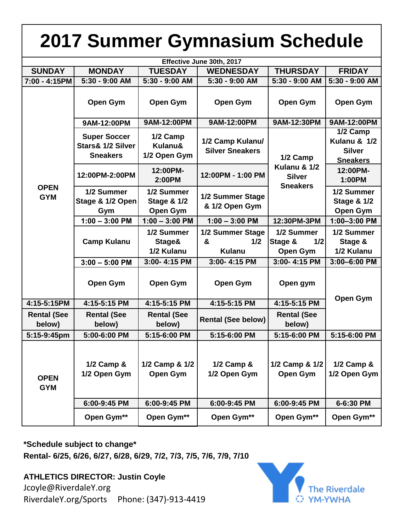| 2017 Summer Gymnasium Schedule |                                                             |                                                         |                                               |                                                              |                                                              |
|--------------------------------|-------------------------------------------------------------|---------------------------------------------------------|-----------------------------------------------|--------------------------------------------------------------|--------------------------------------------------------------|
| Effective June 30th, 2017      |                                                             |                                                         |                                               |                                                              |                                                              |
| <b>SUNDAY</b>                  | <b>MONDAY</b>                                               | <b>TUESDAY</b>                                          | <b>WEDNESDAY</b>                              | <b>THURSDAY</b>                                              | <b>FRIDAY</b>                                                |
| 7:00 - 4:15PM                  | 5:30 - 9:00 AM                                              | 5:30 - 9:00 AM                                          | 5:30 - 9:00 AM                                | 5:30 - 9:00 AM                                               | 5:30 - 9:00 AM                                               |
| <b>OPEN</b><br><b>GYM</b>      | <b>Open Gym</b>                                             | Open Gym                                                | <b>Open Gym</b>                               | Open Gym                                                     | <b>Open Gym</b>                                              |
|                                | 9AM-12:00PM                                                 | 9AM-12:00PM                                             | 9AM-12:00PM                                   | 9AM-12:30PM                                                  | 9AM-12:00PM                                                  |
|                                | <b>Super Soccer</b><br>Stars& 1/2 Silver<br><b>Sneakers</b> | 1/2 Camp<br>Kulanu&<br>1/2 Open Gym                     | 1/2 Camp Kulanu/<br><b>Silver Sneakers</b>    | 1/2 Camp<br>Kulanu & 1/2<br><b>Silver</b><br><b>Sneakers</b> | 1/2 Camp<br>Kulanu & 1/2<br><b>Silver</b><br><b>Sneakers</b> |
|                                | 12:00PM-2:00PM                                              | 12:00PM-<br>2:00PM                                      | 12:00PM - 1:00 PM                             |                                                              | 12:00PM-<br>1:00PM                                           |
|                                | 1/2 Summer<br>Stage & 1/2 Open<br>Gym                       | 1/2 Summer<br><b>Stage &amp; 1/2</b><br><b>Open Gym</b> | 1/2 Summer Stage<br>& 1/2 Open Gym            |                                                              | 1/2 Summer<br><b>Stage &amp; 1/2</b><br><b>Open Gym</b>      |
|                                | $1:00 - 3:00$ PM                                            | $1:00 - 3:00$ PM                                        | $1:00 - 3:00$ PM                              | 12:30PM-3PM                                                  | 1:00-3:00 PM                                                 |
|                                | <b>Camp Kulanu</b>                                          | 1/2 Summer<br>Stage&<br>1/2 Kulanu                      | 1/2 Summer Stage<br>&<br>1/2<br><b>Kulanu</b> | 1/2 Summer<br>Stage &<br>1/2<br><b>Open Gym</b>              | 1/2 Summer<br>Stage &<br>1/2 Kulanu                          |
|                                | $3:00 - 5:00$ PM                                            | 3:00-4:15 PM                                            | 3:00-4:15 PM                                  | 3:00-4:15 PM                                                 | 3:00-6:00 PM                                                 |
|                                | <b>Open Gym</b>                                             | <b>Open Gym</b>                                         | <b>Open Gym</b>                               | Open gym                                                     | <b>Open Gym</b>                                              |
| 4:15-5:15PM                    | 4:15-5:15 PM                                                | 4:15-5:15 PM                                            | 4:15-5:15 PM                                  | 4:15-5:15 PM                                                 |                                                              |
| <b>Rental (See</b><br>below)   | <b>Rental (See</b><br>below)                                | <b>Rental (See</b><br>below)                            | <b>Rental (See below)</b>                     | <b>Rental (See</b><br>below)                                 |                                                              |
| 5:15-9:45pm                    | 5:00-6:00 PM                                                | 5:15-6:00 PM                                            | 5:15-6:00 PM                                  | 5:15-6:00 PM                                                 | 5:15-6:00 PM                                                 |
| <b>OPEN</b><br><b>GYM</b>      | 1/2 Camp &<br>1/2 Open Gym                                  | 1/2 Camp & 1/2<br><b>Open Gym</b>                       | $1/2$ Camp &<br>1/2 Open Gym                  | 1/2 Camp & 1/2<br>Open Gym                                   | 1/2 Camp &<br>1/2 Open Gym                                   |
|                                | 6:00-9:45 PM                                                | 6:00-9:45 PM                                            | 6:00-9:45 PM                                  | 6:00-9:45 PM                                                 | 6-6:30 PM                                                    |
|                                | Open Gym**                                                  | Open Gym**                                              | Open Gym**                                    | Open Gym**                                                   | Open Gym**                                                   |

**\*Schedule subject to change\* Rental- 6/25, 6/26, 6/27, 6/28, 6/29, 7/2, 7/3, 7/5, 7/6, 7/9, 7/10**

[Jcoyle@River](mailto:Jcoyle@RiverdaleY.org)daleY.org **ATHLETICS DIRECTOR: Justin Coyle** RiverdaleY.org/Sports Phone: (347)-913-4419